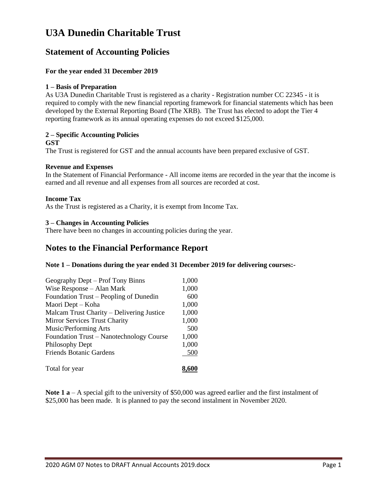# **U3A Dunedin Charitable Trust**

# **Statement of Accounting Policies**

# **For the year ended 31 December 2019**

# **1 – Basis of Preparation**

As U3A Dunedin Charitable Trust is registered as a charity - Registration number CC 22345 - it is required to comply with the new financial reporting framework for financial statements which has been developed by the External Reporting Board (The XRB). The Trust has elected to adopt the Tier 4 reporting framework as its annual operating expenses do not exceed \$125,000.

# **2 – Specific Accounting Policies**

#### **GST**

The Trust is registered for GST and the annual accounts have been prepared exclusive of GST.

#### **Revenue and Expenses**

In the Statement of Financial Performance - All income items are recorded in the year that the income is earned and all revenue and all expenses from all sources are recorded at cost.

#### **Income Tax**

As the Trust is registered as a Charity, it is exempt from Income Tax.

### **3 – Changes in Accounting Policies**

There have been no changes in accounting policies during the year.

# **Notes to the Financial Performance Report**

#### **Note 1 – Donations during the year ended 31 December 2019 for delivering courses:-**

| Geography Dept – Prof Tony Binns          | 1,000 |
|-------------------------------------------|-------|
| Wise Response - Alan Mark                 | 1,000 |
| Foundation Trust – Peopling of Dunedin    | 600   |
| Maori Dept – Koha                         | 1,000 |
| Malcam Trust Charity – Delivering Justice | 1,000 |
| Mirror Services Trust Charity             | 1,000 |
| Music/Performing Arts                     | 500   |
| Foundation Trust – Nanotechnology Course  | 1,000 |
| Philosophy Dept                           | 1,000 |
| <b>Friends Botanic Gardens</b>            | 500   |
| Total for year                            |       |

Note 1 **a** – A special gift to the university of \$50,000 was agreed earlier and the first instalment of \$25,000 has been made. It is planned to pay the second instalment in November 2020.